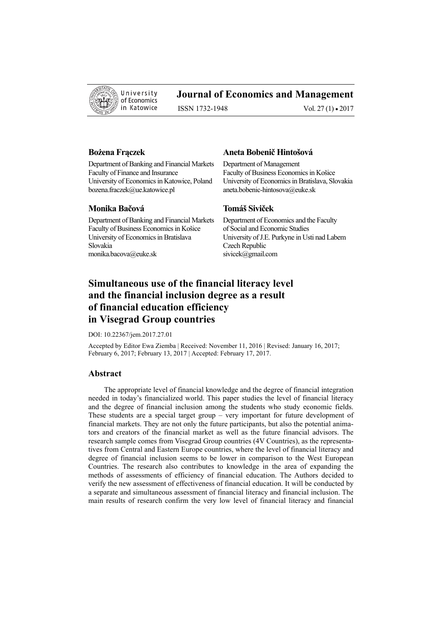

# **Journal of Economics and Management**

ISSN 1732-1948 Vol. 27 (1) • 2017

Department of Banking and Financial Markets Department of Management Faculty of Finance and Insurance Faculty of Business Economics in Košice bozena.fraczek@ue.katowice.pl aneta.bobenic-hintosova@euke.sk

# **Monika Bačová Tomáš Siviček**

Department of Banking and Financial Markets Department of Economics and the Faculty Faculty of Business Economics in Košice University of Economics in Bratislava University of J.E. Purkyne in Usti nad Labem Slovakia Czech Republic monika.bacova@euke.sk sivicek@gmail.com

## **Bożena Frączek Aneta Bobenič Hintošová**

University of Economics in Katowice, Poland University of Economics in Bratislava, Slovakia

# **Simultaneous use of the financial literacy level and the financial inclusion degree as a result of financial education efficiency in Visegrad Group countries**

DOI: 10.22367/jem.2017.27.01

Accepted by Editor Ewa Ziemba | Received: November 11, 2016 | Revised: January 16, 2017; February 6, 2017; February 13, 2017 | Accepted: February 17, 2017.

#### **Abstract**

The appropriate level of financial knowledge and the degree of financial integration needed in today's financialized world. This paper studies the level of financial literacy and the degree of financial inclusion among the students who study economic fields. These students are a special target group – very important for future development of financial markets. They are not only the future participants, but also the potential animators and creators of the financial market as well as the future financial advisors. The research sample comes from Visegrad Group countries (4V Countries), as the representatives from Central and Eastern Europe countries, where the level of financial literacy and degree of financial inclusion seems to be lower in comparison to the West European Countries. The research also contributes to knowledge in the area of expanding the methods of assessments of efficiency of financial education. The Authors decided to verify the new assessment of effectiveness of financial education. It will be conducted by a separate and simultaneous assessment of financial literacy and financial inclusion. The main results of research confirm the very low level of financial literacy and financial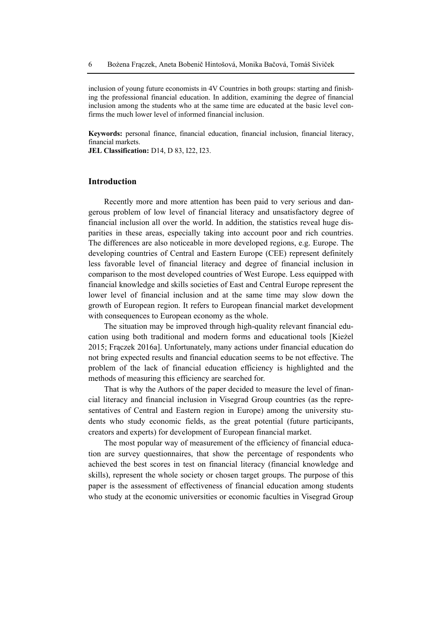inclusion of young future economists in 4V Countries in both groups: starting and finishing the professional financial education. In addition, examining the degree of financial inclusion among the students who at the same time are educated at the basic level confirms the much lower level of informed financial inclusion.

**Keywords:** personal finance, financial education, financial inclusion, financial literacy, financial markets.

**JEL Classification:** D14, D 83, I22, I23.

## **Introduction**

Recently more and more attention has been paid to very serious and dangerous problem of low level of financial literacy and unsatisfactory degree of financial inclusion all over the world. In addition, the statistics reveal huge disparities in these areas, especially taking into account poor and rich countries. The differences are also noticeable in more developed regions, e.g. Europe. The developing countries of Central and Eastern Europe (CEE) represent definitely less favorable level of financial literacy and degree of financial inclusion in comparison to the most developed countries of West Europe. Less equipped with financial knowledge and skills societies of East and Central Europe represent the lower level of financial inclusion and at the same time may slow down the growth of European region. It refers to European financial market development with consequences to European economy as the whole.

The situation may be improved through high-quality relevant financial education using both traditional and modern forms and educational tools [Kieżel 2015; Frączek 2016a]. Unfortunately, many actions under financial education do not bring expected results and financial education seems to be not effective. The problem of the lack of financial education efficiency is highlighted and the methods of measuring this efficiency are searched for.

That is why the Authors of the paper decided to measure the level of financial literacy and financial inclusion in Visegrad Group countries (as the representatives of Central and Eastern region in Europe) among the university students who study economic fields, as the great potential (future participants, creators and experts) for development of European financial market.

The most popular way of measurement of the efficiency of financial education are survey questionnaires, that show the percentage of respondents who achieved the best scores in test on financial literacy (financial knowledge and skills), represent the whole society or chosen target groups. The purpose of this paper is the assessment of effectiveness of financial education among students who study at the economic universities or economic faculties in Visegrad Group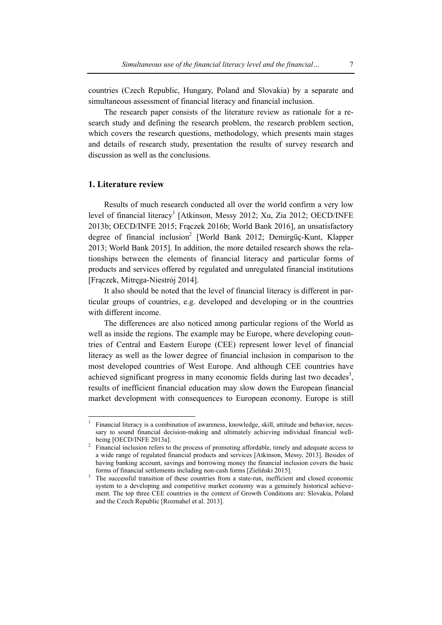countries (Czech Republic, Hungary, Poland and Slovakia) by a separate and simultaneous assessment of financial literacy and financial inclusion.

The research paper consists of the literature review as rationale for a research study and defining the research problem, the research problem section, which covers the research questions, methodology, which presents main stages and details of research study, presentation the results of survey research and discussion as well as the conclusions.

# **1. Literature review**

l

Results of much research conducted all over the world confirm a very low level of financial literacy<sup>1</sup> [Atkinson, Messy 2012; Xu, Zia 2012; OECD/INFE 2013b; OECD/INFE 2015; Frączek 2016b; World Bank 2016], an unsatisfactory degree of financial inclusion<sup>2</sup> [World Bank 2012; Demirgüç-Kunt, Klapper 2013; World Bank 2015]. In addition, the more detailed research shows the relationships between the elements of financial literacy and particular forms of products and services offered by regulated and unregulated financial institutions [Frączek, Mitręga-Niestrój 2014].

It also should be noted that the level of financial literacy is different in particular groups of countries, e.g. developed and developing or in the countries with different income.

The differences are also noticed among particular regions of the World as well as inside the regions. The example may be Europe, where developing countries of Central and Eastern Europe (CEE) represent lower level of financial literacy as well as the lower degree of financial inclusion in comparison to the most developed countries of West Europe. And although CEE countries have achieved significant progress in many economic fields during last two decades<sup>3</sup>, results of inefficient financial education may slow down the European financial market development with consequences to European economy. Europe is still

<sup>1</sup> Financial literacy is a combination of awareness, knowledge, skill, attitude and behavior, necessary to sound financial decision-making and ultimately achieving individual financial wellbeing [OECD/INFE 2013al.]

<sup>&</sup>lt;sup>2</sup> Financial inclusion refers to the process of promoting affordable, timely and adequate access to a wide range of regulated financial products and services [Atkinson, Messy, 2013]. Besides of having banking account, savings and borrowing money the financial inclusion covers the basic forms of financial settlements including non-cash forms [Zieliński 2015]. 3

<sup>&</sup>lt;sup>3</sup> The successful transition of these countries from a state-run, inefficient and closed economic system to a developing and competitive market economy was a genuinely historical achievement. The top three CEE countries in the context of Growth Conditions are: Slovakia, Poland and the Czech Republic [Rozmahel et al. 2013].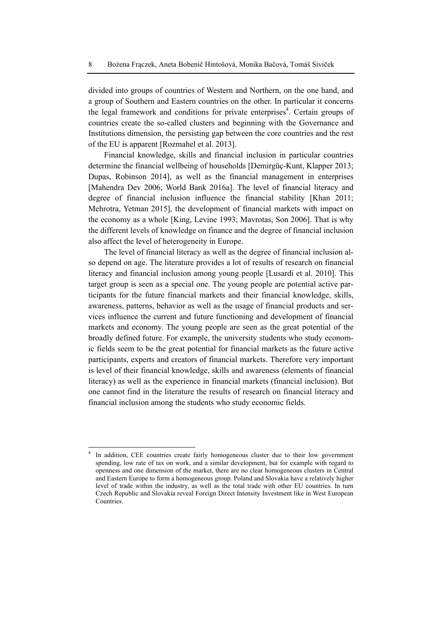divided into groups of countries of Western and Northern, on the one hand, and a group of Southern and Eastern countries on the other. In particular it concerns the legal framework and conditions for private enterprises<sup>4</sup>. Certain groups of countries create the so-called clusters and beginning with the Governance and Institutions dimension, the persisting gap between the core countries and the rest of the EU is apparent [Rozmahel et al. 2013].

Financial knowledge, skills and financial inclusion in particular countries determine the financial wellbeing of households [Demirgüç-Kunt, Klapper 2013; Dupas, Robinson 2014], as well as the financial management in enterprises [Mahendra Dev 2006; World Bank 2016a]. The level of financial literacy and degree of financial inclusion influence the financial stability [Khan 2011; Mehrotra, Yetman 2015], the development of financial markets with impact on the economy as a whole [King, Levine 1993; Mavrotas, Son 2006]. That is why the different levels of knowledge on finance and the degree of financial inclusion also affect the level of heterogeneity in Europe.

The level of financial literacy as well as the degree of financial inclusion also depend on age. The literature provides a lot of results of research on financial literacy and financial inclusion among young people [Lusardi et al. 2010]. This target group is seen as a special one. The young people are potential active participants for the future financial markets and their financial knowledge, skills, awareness, patterns, behavior as well as the usage of financial products and services influence the current and future functioning and development of financial markets and economy. The young people are seen as the great potential of the broadly defined future. For example, the university students who study economic fields seem to be the great potential for financial markets as the future active participants, experts and creators of financial markets. Therefore very important is level of their financial knowledge, skills and awareness (elements of financial literacy) as well as the experience in financial markets (financial inclusion). But one cannot find in the literature the results of research on financial literacy and financial inclusion among the students who study economic fields.

 $\overline{\phantom{a}}$ 

<sup>4</sup> In addition, CEE countries create fairly homogeneous cluster due to their low government spending, low rate of tax on work, and a similar development, but for example with regard to openness and one dimension of the market, there are no clear homogeneous clusters in Central and Eastern Europe to form a homogeneous group. Poland and Slovakia have a relatively higher level of trade within the industry, as well as the total trade with other EU countries. In turn Czech Republic and Slovakia reveal Foreign Direct Intensity Investment like in West European Countries.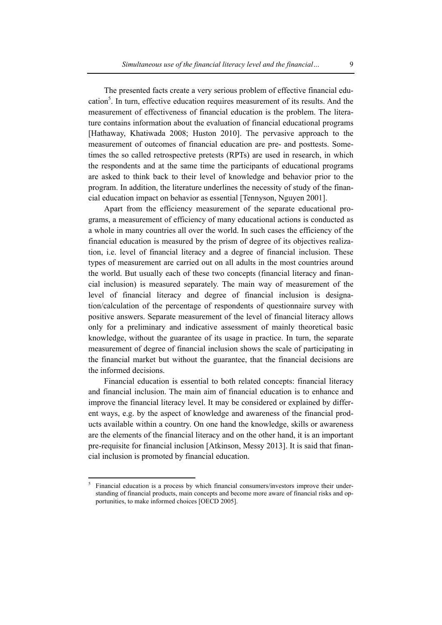The presented facts create a very serious problem of effective financial education<sup>5</sup>. In turn, effective education requires measurement of its results. And the measurement of effectiveness of financial education is the problem. The literature contains information about the evaluation of financial educational programs [Hathaway, Khatiwada 2008; Huston 2010]. The pervasive approach to the measurement of outcomes of financial education are pre- and posttests. Sometimes the so called retrospective pretests (RPTs) are used in research, in which the respondents and at the same time the participants of educational programs are asked to think back to their level of knowledge and behavior prior to the program. In addition, the literature underlines the necessity of study of the financial education impact on behavior as essential [Tennyson, Nguyen 2001].

Apart from the efficiency measurement of the separate educational programs, a measurement of efficiency of many educational actions is conducted as a whole in many countries all over the world. In such cases the efficiency of the financial education is measured by the prism of degree of its objectives realization, i.e. level of financial literacy and a degree of financial inclusion. These types of measurement are carried out on all adults in the most countries around the world. But usually each of these two concepts (financial literacy and financial inclusion) is measured separately. The main way of measurement of the level of financial literacy and degree of financial inclusion is designation/calculation of the percentage of respondents of questionnaire survey with positive answers. Separate measurement of the level of financial literacy allows only for a preliminary and indicative assessment of mainly theoretical basic knowledge, without the guarantee of its usage in practice. In turn, the separate measurement of degree of financial inclusion shows the scale of participating in the financial market but without the guarantee, that the financial decisions are the informed decisions.

Financial education is essential to both related concepts: financial literacy and financial inclusion. The main aim of financial education is to enhance and improve the financial literacy level. It may be considered or explained by different ways, e.g. by the aspect of knowledge and awareness of the financial products available within a country. On one hand the knowledge, skills or awareness are the elements of the financial literacy and on the other hand, it is an important pre-requisite for financial inclusion [Atkinson, Messy 2013]. It is said that financial inclusion is promoted by financial education.

 5 Financial education is a process by which financial consumers/investors improve their understanding of financial products, main concepts and become more aware of financial risks and opportunities, to make informed choices [OECD 2005].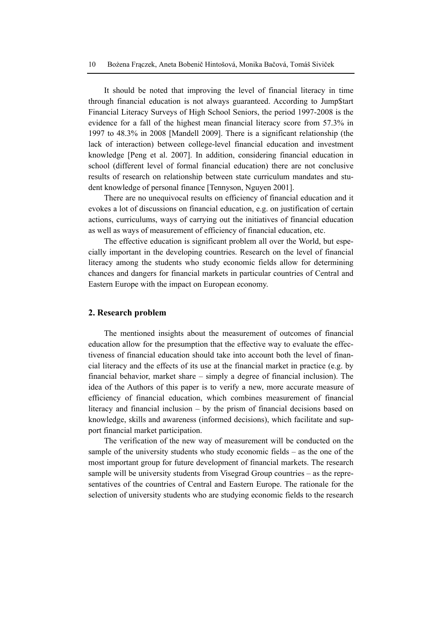It should be noted that improving the level of financial literacy in time through financial education is not always guaranteed. According to Jump\$tart Financial Literacy Surveys of High School Seniors, the period 1997-2008 is the evidence for a fall of the highest mean financial literacy score from 57.3% in 1997 to 48.3% in 2008 [Mandell 2009]. There is a significant relationship (the lack of interaction) between college-level financial education and investment knowledge [Peng et al. 2007]. In addition, considering financial education in school (different level of formal financial education) there are not conclusive results of research on relationship between state curriculum mandates and student knowledge of personal finance [Tennyson, Nguyen 2001].

There are no unequivocal results on efficiency of financial education and it evokes a lot of discussions on financial education, e.g. on justification of certain actions, curriculums, ways of carrying out the initiatives of financial education as well as ways of measurement of efficiency of financial education, etc.

The effective education is significant problem all over the World, but especially important in the developing countries. Research on the level of financial literacy among the students who study economic fields allow for determining chances and dangers for financial markets in particular countries of Central and Eastern Europe with the impact on European economy.

# **2. Research problem**

The mentioned insights about the measurement of outcomes of financial education allow for the presumption that the effective way to evaluate the effectiveness of financial education should take into account both the level of financial literacy and the effects of its use at the financial market in practice (e.g. by financial behavior, market share – simply a degree of financial inclusion). The idea of the Authors of this paper is to verify a new, more accurate measure of efficiency of financial education, which combines measurement of financial literacy and financial inclusion – by the prism of financial decisions based on knowledge, skills and awareness (informed decisions), which facilitate and support financial market participation.

The verification of the new way of measurement will be conducted on the sample of the university students who study economic fields – as the one of the most important group for future development of financial markets. The research sample will be university students from Visegrad Group countries – as the representatives of the countries of Central and Eastern Europe. The rationale for the selection of university students who are studying economic fields to the research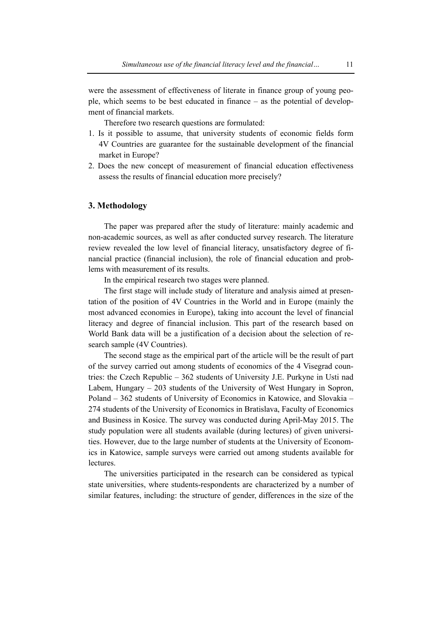were the assessment of effectiveness of literate in finance group of young people, which seems to be best educated in finance – as the potential of development of financial markets.

Therefore two research questions are formulated:

- 1. Is it possible to assume, that university students of economic fields form 4V Countries are guarantee for the sustainable development of the financial market in Europe?
- 2. Does the new concept of measurement of financial education effectiveness assess the results of financial education more precisely?

### **3. Methodology**

The paper was prepared after the study of literature: mainly academic and non-academic sources, as well as after conducted survey research. The literature review revealed the low level of financial literacy, unsatisfactory degree of financial practice (financial inclusion), the role of financial education and problems with measurement of its results.

In the empirical research two stages were planned.

The first stage will include study of literature and analysis aimed at presentation of the position of 4V Countries in the World and in Europe (mainly the most advanced economies in Europe), taking into account the level of financial literacy and degree of financial inclusion. This part of the research based on World Bank data will be a justification of a decision about the selection of research sample (4V Countries).

The second stage as the empirical part of the article will be the result of part of the survey carried out among students of economics of the 4 Visegrad countries: the Czech Republic – 362 students of University J.E. Purkyne in Usti nad Labem, Hungary – 203 students of the University of West Hungary in Sopron, Poland – 362 students of University of Economics in Katowice, and Slovakia – 274 students of the University of Economics in Bratislava, Faculty of Economics and Business in Kosice. The survey was conducted during April-May 2015. The study population were all students available (during lectures) of given universities. However, due to the large number of students at the University of Economics in Katowice, sample surveys were carried out among students available for lectures.

The universities participated in the research can be considered as typical state universities, where students-respondents are characterized by a number of similar features, including: the structure of gender, differences in the size of the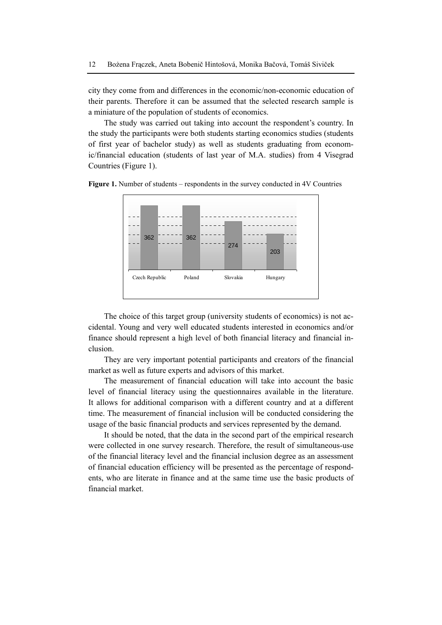city they come from and differences in the economic/non-economic education of their parents. Therefore it can be assumed that the selected research sample is a miniature of the population of students of economics.

The study was carried out taking into account the respondent's country. In the study the participants were both students starting economics studies (students of first year of bachelor study) as well as students graduating from economic/financial education (students of last year of M.A. studies) from 4 Visegrad Countries (Figure 1).





The choice of this target group (university students of economics) is not accidental. Young and very well educated students interested in economics and/or finance should represent a high level of both financial literacy and financial inclusion.

They are very important potential participants and creators of the financial market as well as future experts and advisors of this market.

The measurement of financial education will take into account the basic level of financial literacy using the questionnaires available in the literature. It allows for additional comparison with a different country and at a different time. The measurement of financial inclusion will be conducted considering the usage of the basic financial products and services represented by the demand.

It should be noted, that the data in the second part of the empirical research were collected in one survey research. Therefore, the result of simultaneous-use of the financial literacy level and the financial inclusion degree as an assessment of financial education efficiency will be presented as the percentage of respondents, who are literate in finance and at the same time use the basic products of financial market.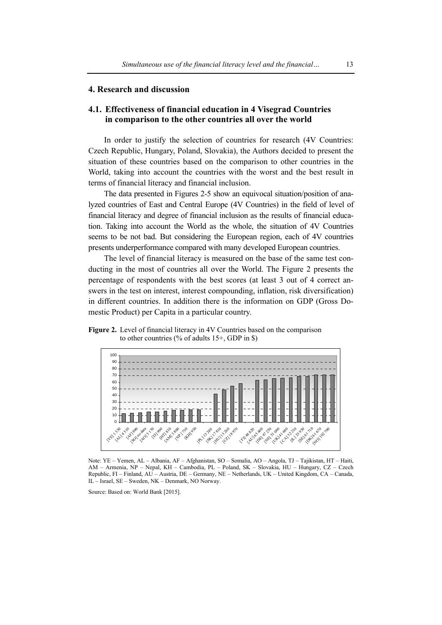# **4. Research and discussion**

# **4.1. Effectiveness of financial education in 4 Visegrad Countries in comparison to the other countries all over the world**

In order to justify the selection of countries for research (4V Countries: Czech Republic, Hungary, Poland, Slovakia), the Authors decided to present the situation of these countries based on the comparison to other countries in the World, taking into account the countries with the worst and the best result in terms of financial literacy and financial inclusion.

The data presented in Figures 2-5 show an equivocal situation/position of analyzed countries of East and Central Europe (4V Countries) in the field of level of financial literacy and degree of financial inclusion as the results of financial education. Taking into account the World as the whole, the situation of 4V Countries seems to be not bad. But considering the European region, each of 4V countries presents underperformance compared with many developed European countries.

The level of financial literacy is measured on the base of the same test conducting in the most of countries all over the World. The Figure 2 presents the percentage of respondents with the best scores (at least 3 out of 4 correct answers in the test on interest, interest compounding, inflation, risk diversification) in different countries. In addition there is the information on GDP (Gross Domestic Product) per Capita in a particular country.





Note: YE – Yemen, AL – Albania, AF – Afghanistan, SO – Somalia, AO – Angola, TJ – Tajikistan, HT – Haiti, AM – Armenia, NP – Nepal, KH – Cambodia, PL – Poland, SK – Slovakia, HU – Hungary, CZ – Czech Republic, FI – Finland, AU – Austria, DE – Germany, NE – Netherlands, UK – United Kingdom, CA – Canada, IL – Israel, SE – Sweden, NK – Denmark, NO Norway.

Source: Based on: World Bank [2015].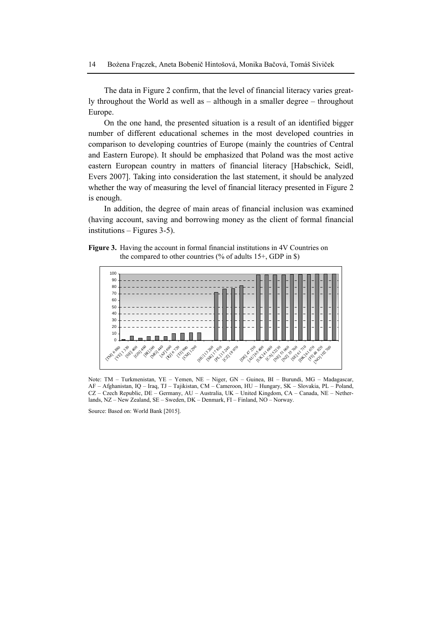The data in Figure 2 confirm, that the level of financial literacy varies greatly throughout the World as well as – although in a smaller degree – throughout Europe.

On the one hand, the presented situation is a result of an identified bigger number of different educational schemes in the most developed countries in comparison to developing countries of Europe (mainly the countries of Central and Eastern Europe). It should be emphasized that Poland was the most active eastern European country in matters of financial literacy [Habschick, Seidl, Evers 2007]. Taking into consideration the last statement, it should be analyzed whether the way of measuring the level of financial literacy presented in Figure 2 is enough.

In addition, the degree of main areas of financial inclusion was examined (having account, saving and borrowing money as the client of formal financial institutions – Figures 3-5).





Note: TM – Turkmenistan, YE – Yemen, NE – Niger, GN – Guinea, BI – Burundi, MG – Madagascar, AF – Afghanistan, IQ – Iraq, TJ – Tajikistan, CM – Cameroon, HU – Hungary, SK – Slovakia, PL – Poland, CZ – Czech Republic, DE – Germany, AU – Australia, UK – United Kingdom, CA – Canada, NE – Netherlands, NZ – New Zealand, SE – Sweden, DK – Denmark, FI – Finland, NO – Norway.

Source: Based on: World Bank [2015].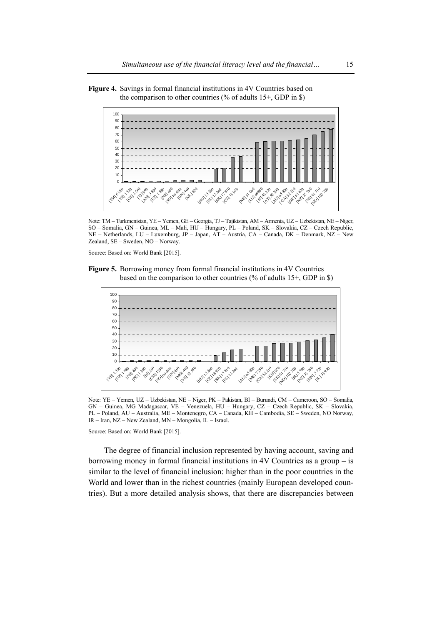



Note: TM – Turkmenistan, YE – Yemen, GE – Georgia, TJ – Tajikistan, AM – Armenia, UZ – Uzbekistan, NE – Niger, SO – Somalia, GN – Guinea, ML – Mali, HU – Hungary, PL – Poland, SK – Slovakia, CZ – Czech Republic, NE – Netherlands, LU – Luxemburg, JP – Japan, AT – Austria, CA – Canada, DK – Denmark, NZ – New Zealand, SE – Sweden, NO – Norway.

Source: Based on: World Bank [2015].





Note: YE – Yemen, UZ – Uzbekistan, NE – Niger, PK – Pakistan, BI – Burundi, CM – Cameroon, SO – Somalia, GN – Guinea, MG Madagascar, VE – Venezuela, HU – Hungary, CZ – Czech Republic, SK – Slovakia, PL – Poland, AU – Australia, ME – Montenegro, CA – Canada, KH – Cambodia, SE – Sweden, NO Norway, IR – Iran, NZ – New Zealand, MN – Mongolia, IL – Israel.

Source: Based on: World Bank [2015].

The degree of financial inclusion represented by having account, saving and borrowing money in formal financial institutions in 4V Countries as a group – is similar to the level of financial inclusion: higher than in the poor countries in the World and lower than in the richest countries (mainly European developed countries). But a more detailed analysis shows, that there are discrepancies between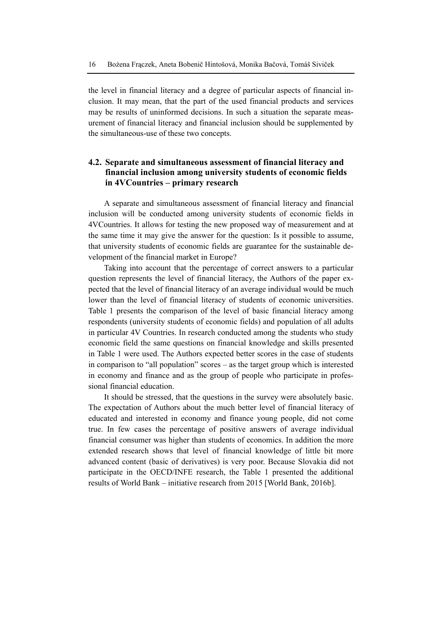the level in financial literacy and a degree of particular aspects of financial inclusion. It may mean, that the part of the used financial products and services may be results of uninformed decisions. In such a situation the separate measurement of financial literacy and financial inclusion should be supplemented by the simultaneous-use of these two concepts.

# **4.2. Separate and simultaneous assessment of financial literacy and financial inclusion among university students of economic fields in 4VCountries – primary research**

A separate and simultaneous assessment of financial literacy and financial inclusion will be conducted among university students of economic fields in 4VCountries. It allows for testing the new proposed way of measurement and at the same time it may give the answer for the question: Is it possible to assume, that university students of economic fields are guarantee for the sustainable development of the financial market in Europe?

Taking into account that the percentage of correct answers to a particular question represents the level of financial literacy, the Authors of the paper expected that the level of financial literacy of an average individual would be much lower than the level of financial literacy of students of economic universities. Table 1 presents the comparison of the level of basic financial literacy among respondents (university students of economic fields) and population of all adults in particular 4V Countries. In research conducted among the students who study economic field the same questions on financial knowledge and skills presented in Table 1 were used. The Authors expected better scores in the case of students in comparison to "all population" scores – as the target group which is interested in economy and finance and as the group of people who participate in professional financial education.

It should be stressed, that the questions in the survey were absolutely basic. The expectation of Authors about the much better level of financial literacy of educated and interested in economy and finance young people, did not come true. In few cases the percentage of positive answers of average individual financial consumer was higher than students of economics. In addition the more extended research shows that level of financial knowledge of little bit more advanced content (basic of derivatives) is very poor. Because Slovakia did not participate in the OECD/INFE research, the Table 1 presented the additional results of World Bank – initiative research from 2015 [World Bank, 2016b].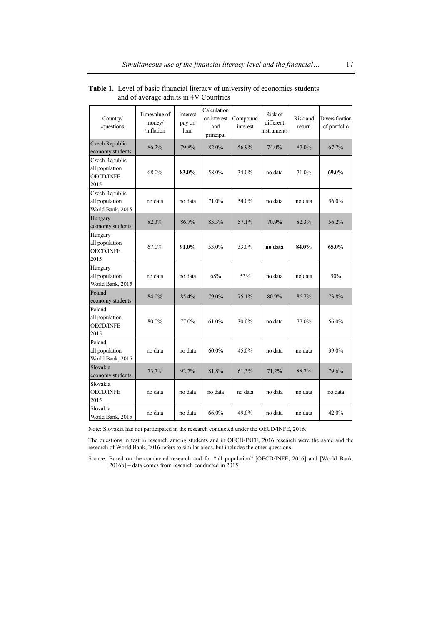| Country/<br>/questions                                       | Timevalue of<br>money/<br>/inflation | Interest<br>pay on<br>loan | Calculation<br>on interest<br>and<br>principal | Compound<br>interest | Risk of<br>different<br>instruments | Risk and<br>return | Diversification<br>of portfolio |
|--------------------------------------------------------------|--------------------------------------|----------------------------|------------------------------------------------|----------------------|-------------------------------------|--------------------|---------------------------------|
| Czech Republic<br>economy students                           | 86.2%                                | 79.8%                      | 82.0%                                          | 56.9%                | 74.0%                               | 87.0%              | 67.7%                           |
| Czech Republic<br>all population<br><b>OECD/INFE</b><br>2015 | 68.0%                                | 83.0%                      | 58.0%                                          | 34.0%                | no data                             | 71.0%              | 69.0%                           |
| Czech Republic<br>all population<br>World Bank, 2015         | no data                              | no data                    | 71.0%                                          | 54.0%                | no data                             | no data            | 56.0%                           |
| Hungary<br>economy students                                  | 82.3%                                | 86.7%                      | 83.3%                                          | 57.1%                | 70.9%                               | 82.3%              | 56.2%                           |
| Hungary<br>all population<br><b>OECD/INFE</b><br>2015        | 67.0%                                | 91.0%                      | 53.0%                                          | 33.0%                | no data                             | 84.0%              | 65.0%                           |
| Hungary<br>all population<br>World Bank, 2015                | no data                              | no data                    | 68%                                            | 53%                  | no data                             | no data            | 50%                             |
| Poland<br>economy students                                   | 84.0%                                | 85.4%                      | 79.0%                                          | 75.1%                | 80.9%                               | 86.7%              | 73.8%                           |
| Poland<br>all population<br><b>OECD/INFE</b><br>2015         | 80.0%                                | 77.0%                      | 61.0%                                          | 30.0%                | no data                             | 77.0%              | 56.0%                           |
| Poland<br>all population<br>World Bank, 2015                 | no data                              | no data                    | $60.0\%$                                       | 45.0%                | no data                             | no data            | 39.0%                           |
| Slovakia<br>economy students                                 | 73,7%                                | 92,7%                      | 81,8%                                          | 61,3%                | 71,2%                               | 88,7%              | 79,6%                           |
| Slovakia<br><b>OECD/INFE</b><br>2015                         | no data                              | no data                    | no data                                        | no data              | no data                             | no data            | no data                         |
| Slovakia<br>World Bank, 2015                                 | no data                              | no data                    | 66.0%                                          | 49.0%                | no data                             | no data            | 42.0%                           |

**Table 1.** Level of basic financial literacy of university of economics students and of average adults in 4V Countries

Note: Slovakia has not participated in the research conducted under the OECD/INFE, 2016.

The questions in test in research among students and in OECD/INFE, 2016 research were the same and the research of World Bank, 2016 refers to similar areas, but includes the other questions.

Source: Based on the conducted research and for "all population" [OECD/INFE, 2016] and [World Bank, 2016b] – data comes from research conducted in 2015.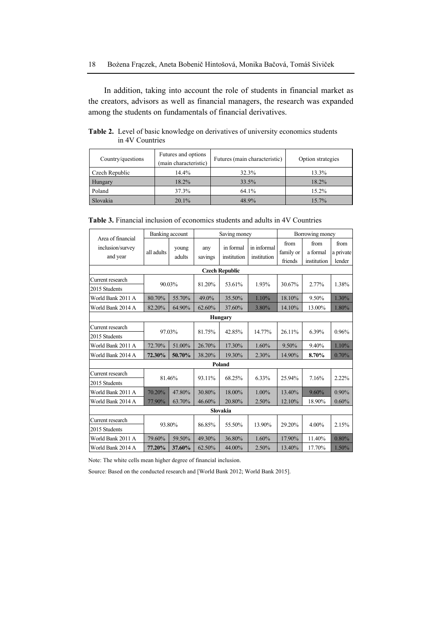In addition, taking into account the role of students in financial market as the creators, advisors as well as financial managers, the research was expanded among the students on fundamentals of financial derivatives.

**Table 2.** Level of basic knowledge on derivatives of university economics students in 4V Countries

| Country/questions | Futures and options<br>(main characteristic) | Futures (main characteristic) | Option strategies |
|-------------------|----------------------------------------------|-------------------------------|-------------------|
| Czech Republic    | 14.4%                                        | 32.3%                         | 13.3%             |
| Hungary           | 18.2%                                        | 33.5%                         | 18.2%             |
| Poland            | 37.3%                                        | 64.1%                         | 15.2%             |
| Slovakia          | 20.1%                                        | 48.9%                         | 15.7%             |

| <b>Table 3.</b> Financial inclusion of economics students and adults in 4V Countries |
|--------------------------------------------------------------------------------------|
|--------------------------------------------------------------------------------------|

|                                                   | Banking account  |                 | Saving money   |                          |                            | Borrowing money              |                                 |                             |
|---------------------------------------------------|------------------|-----------------|----------------|--------------------------|----------------------------|------------------------------|---------------------------------|-----------------------------|
| Area of financial<br>inclusion/survey<br>and year | all adults       | young<br>adults | any<br>savings | in formal<br>institution | in informal<br>institution | from<br>family or<br>friends | from<br>a formal<br>institution | from<br>a private<br>lender |
|                                                   |                  |                 |                | <b>Czech Republic</b>    |                            |                              |                                 |                             |
| Current research                                  | 90.03%           |                 | 81.20%         | 53.61%                   | 1.93%                      | 30.67%                       | 2.77%                           | 1.38%                       |
| 2015 Students                                     |                  |                 |                |                          |                            |                              |                                 |                             |
| World Bank 2011 A                                 | 80.70%           | 55.70%          | 49.0%          | 35.50%                   | 1.10%                      | 18.10%                       | 9.50%                           | 1.30%                       |
| World Bank 2014 A                                 | 82.20%           | 64.90%          | 62.60%         | 37.60%                   | 3.80%                      | 14.10%                       | 13.00%                          | 1.80%                       |
| <b>Hungary</b>                                    |                  |                 |                |                          |                            |                              |                                 |                             |
| Current research<br>2015 Students                 | 97.03%           |                 | 81.75%         | 42.85%                   | 14.77%                     | 26.11%                       | 6.39%                           | 0.96%                       |
| World Bank 2011 A                                 | 72.70%<br>51.00% |                 | 26.70%         | 17.30%                   | 1.60%                      | $9.50\%$                     | 9.40%                           | 1.10%                       |
| World Bank 2014 A                                 | 72.30%           | 50.70%          | 38.20%         | 19.30%                   | 2.30%                      | 14.90%                       | 8.70%                           | 0.70%                       |
|                                                   | Poland           |                 |                |                          |                            |                              |                                 |                             |
| Current research                                  | 81.46%           |                 |                |                          |                            |                              |                                 |                             |
| 2015 Students                                     |                  |                 | 93.11%         | 68.25%                   | 6.33%                      | 25.94%                       | 7.16%                           | 2.22%                       |
| World Bank 2011 A                                 | 70.20%           | 47.80%          | 30.80%         | 18.00%                   | $1.00\%$                   | 13.40%                       | 9.60%                           | $0.90\%$                    |
| World Bank 2014 A                                 | 77.90%           | 63.70%          | 46.60%         | 20.80%                   | 2.50%                      | 12.10%                       | 18.90%                          | 0.60%                       |
|                                                   |                  |                 |                | Slovakia                 |                            |                              |                                 |                             |
| Current research                                  |                  |                 | 86.85%         | 55.50%                   | 13.90%                     | 29.20%                       | $4.00\%$                        | 2.15%                       |
| 2015 Students                                     | 93.80%           |                 |                |                          |                            |                              |                                 |                             |
| World Bank 2011 A                                 | 79.60%           | 59.50%          | 49.30%         | 36.80%                   | 1.60%                      | 17.90%                       | 11.40%                          | 0.80%                       |
| World Bank 2014 A                                 | 77.20%           | 37.60%          | 62.50%         | 44.00%                   | 2.50%                      | 13.40%                       | 17.70%                          | 1.50%                       |

Note: The white cells mean higher degree of financial inclusion.

Source: Based on the conducted research and [World Bank 2012; World Bank 2015].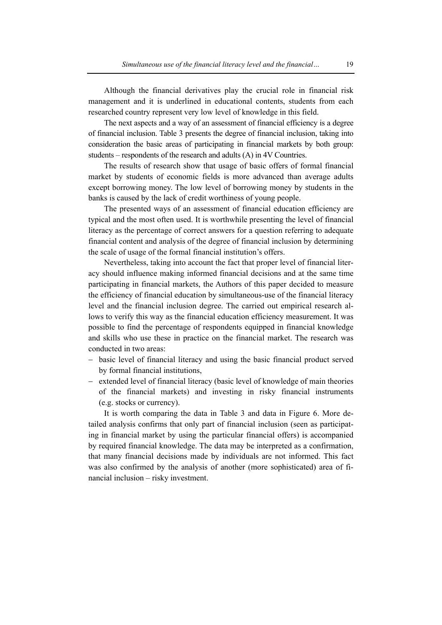Although the financial derivatives play the crucial role in financial risk management and it is underlined in educational contents, students from each researched country represent very low level of knowledge in this field.

The next aspects and a way of an assessment of financial efficiency is a degree of financial inclusion. Table 3 presents the degree of financial inclusion, taking into consideration the basic areas of participating in financial markets by both group: students – respondents of the research and adults (A) in 4V Countries.

The results of research show that usage of basic offers of formal financial market by students of economic fields is more advanced than average adults except borrowing money. The low level of borrowing money by students in the banks is caused by the lack of credit worthiness of young people.

The presented ways of an assessment of financial education efficiency are typical and the most often used. It is worthwhile presenting the level of financial literacy as the percentage of correct answers for a question referring to adequate financial content and analysis of the degree of financial inclusion by determining the scale of usage of the formal financial institution's offers.

Nevertheless, taking into account the fact that proper level of financial literacy should influence making informed financial decisions and at the same time participating in financial markets, the Authors of this paper decided to measure the efficiency of financial education by simultaneous-use of the financial literacy level and the financial inclusion degree. The carried out empirical research allows to verify this way as the financial education efficiency measurement. It was possible to find the percentage of respondents equipped in financial knowledge and skills who use these in practice on the financial market. The research was conducted in two areas:

- − basic level of financial literacy and using the basic financial product served by formal financial institutions,
- − extended level of financial literacy (basic level of knowledge of main theories of the financial markets) and investing in risky financial instruments (e.g. stocks or currency).

It is worth comparing the data in Table 3 and data in Figure 6. More detailed analysis confirms that only part of financial inclusion (seen as participating in financial market by using the particular financial offers) is accompanied by required financial knowledge. The data may be interpreted as a confirmation, that many financial decisions made by individuals are not informed. This fact was also confirmed by the analysis of another (more sophisticated) area of financial inclusion – risky investment.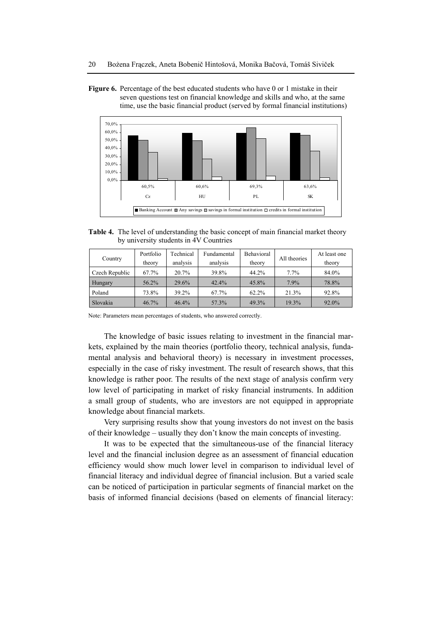**Figure 6.** Percentage of the best educated students who have 0 or 1 mistake in their seven questions test on financial knowledge and skills and who, at the same time, use the basic financial product (served by formal financial institutions)



**Table 4.** The level of understanding the basic concept of main financial market theory by university students in 4V Countries

| Country        | Portfolio | Technical | Fundamental | Behavioral | All theories | At least one |
|----------------|-----------|-----------|-------------|------------|--------------|--------------|
|                | theory    | analysis  | analysis    | theory     |              | theory       |
| Czech Republic | 67.7%     | 20.7%     | 39.8%       | 44.2%      | 7.7%         | 84.0%        |
| Hungary        | 56.2%     | 29.6%     | 42.4%       | 45.8%      | 7.9%         | 78.8%        |
| Poland         | 73.8%     | 39.2%     | 67.7%       | 62.2%      | 21.3%        | 92.8%        |
| Slovakia       | 46.7%     | 46.4%     | 57.3%       | 49.3%      | 19.3%        | 92.0%        |

Note: Parameters mean percentages of students, who answered correctly.

The knowledge of basic issues relating to investment in the financial markets, explained by the main theories (portfolio theory, technical analysis, fundamental analysis and behavioral theory) is necessary in investment processes, especially in the case of risky investment. The result of research shows, that this knowledge is rather poor. The results of the next stage of analysis confirm very low level of participating in market of risky financial instruments. In addition a small group of students, who are investors are not equipped in appropriate knowledge about financial markets.

Very surprising results show that young investors do not invest on the basis of their knowledge – usually they don't know the main concepts of investing.

It was to be expected that the simultaneous-use of the financial literacy level and the financial inclusion degree as an assessment of financial education efficiency would show much lower level in comparison to individual level of financial literacy and individual degree of financial inclusion. But a varied scale can be noticed of participation in particular segments of financial market on the basis of informed financial decisions (based on elements of financial literacy: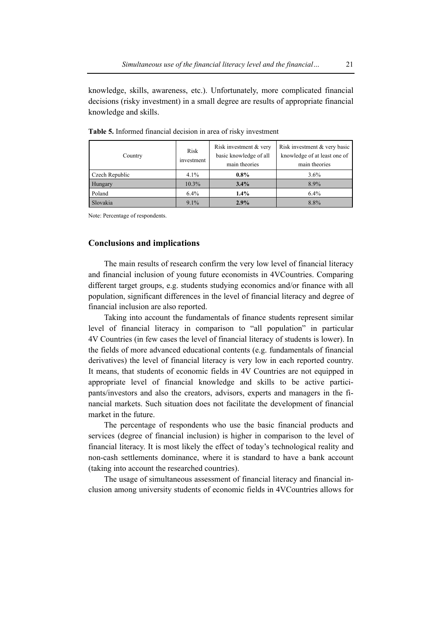knowledge, skills, awareness, etc.). Unfortunately, more complicated financial decisions (risky investment) in a small degree are results of appropriate financial knowledge and skills.

| Country        | Risk<br>investment | Risk investment & very<br>basic knowledge of all<br>main theories | Risk investment & very basic<br>knowledge of at least one of<br>main theories |
|----------------|--------------------|-------------------------------------------------------------------|-------------------------------------------------------------------------------|
| Czech Republic | $4.1\%$            | $0.8\%$                                                           | $3.6\%$                                                                       |
| Hungary        | 10.3%              | $3.4\%$                                                           | 8.9%                                                                          |
| Poland         | 6.4%               | 1.4%                                                              | 6.4%                                                                          |
| Slovakia       | 9.1%               | 2.9%                                                              | 8.8%                                                                          |

**Table 5.** Informed financial decision in area of risky investment

Note: Percentage of respondents.

# **Conclusions and implications**

The main results of research confirm the very low level of financial literacy and financial inclusion of young future economists in 4VCountries. Comparing different target groups, e.g. students studying economics and/or finance with all population, significant differences in the level of financial literacy and degree of financial inclusion are also reported.

Taking into account the fundamentals of finance students represent similar level of financial literacy in comparison to "all population" in particular 4V Countries (in few cases the level of financial literacy of students is lower). In the fields of more advanced educational contents (e.g. fundamentals of financial derivatives) the level of financial literacy is very low in each reported country. It means, that students of economic fields in 4V Countries are not equipped in appropriate level of financial knowledge and skills to be active participants/investors and also the creators, advisors, experts and managers in the financial markets. Such situation does not facilitate the development of financial market in the future.

The percentage of respondents who use the basic financial products and services (degree of financial inclusion) is higher in comparison to the level of financial literacy. It is most likely the effect of today's technological reality and non-cash settlements dominance, where it is standard to have a bank account (taking into account the researched countries).

The usage of simultaneous assessment of financial literacy and financial inclusion among university students of economic fields in 4VCountries allows for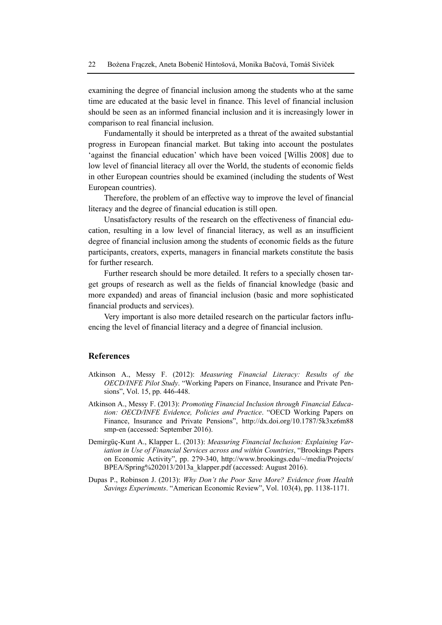examining the degree of financial inclusion among the students who at the same time are educated at the basic level in finance. This level of financial inclusion should be seen as an informed financial inclusion and it is increasingly lower in comparison to real financial inclusion.

Fundamentally it should be interpreted as a threat of the awaited substantial progress in European financial market. But taking into account the postulates 'against the financial education' which have been voiced [Willis 2008] due to low level of financial literacy all over the World, the students of economic fields in other European countries should be examined (including the students of West European countries).

Therefore, the problem of an effective way to improve the level of financial literacy and the degree of financial education is still open.

Unsatisfactory results of the research on the effectiveness of financial education, resulting in a low level of financial literacy, as well as an insufficient degree of financial inclusion among the students of economic fields as the future participants, creators, experts, managers in financial markets constitute the basis for further research.

Further research should be more detailed. It refers to a specially chosen target groups of research as well as the fields of financial knowledge (basic and more expanded) and areas of financial inclusion (basic and more sophisticated financial products and services).

Very important is also more detailed research on the particular factors influencing the level of financial literacy and a degree of financial inclusion.

#### **References**

- Atkinson A., Messy F. (2012): *Measuring Financial Literacy: Results of the OECD/INFE Pilot Study*. "Working Papers on Finance, Insurance and Private Pensions", Vol. 15, pp. 446-448.
- Atkinson A., Messy F. (2013): *Promoting Financial Inclusion through Financial Education: OECD/INFE Evidence, Policies and Practice*. "OECD Working Papers on Finance, Insurance and Private Pensions", http://dx.doi.org/10.1787/5k3xz6m88 smp-en (accessed: September 2016).
- Demirgüç-Kunt A., Klapper L. (2013): *Measuring Financial Inclusion: Explaining Variation in Use of Financial Services across and within Countries*, "Brookings Papers on Economic Activity", pp. 279-340, http://www.brookings.edu/~/media/Projects/ BPEA/Spring%202013/2013a\_klapper.pdf (accessed: August 2016).
- Dupas P., Robinson J. (2013): *Why Don't the Poor Save More? Evidence from Health Savings Experiments*. "American Economic Review", Vol. 103(4), pp. 1138-1171.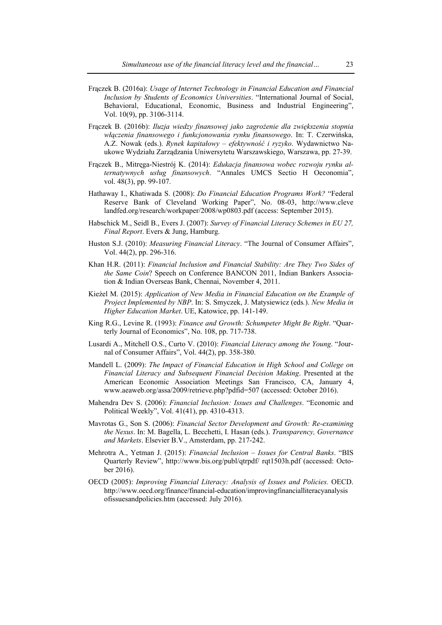- Frączek B. (2016a): *Usage of Internet Technology in Financial Education and Financial Inclusion by Students of Economics Universities*. "International Journal of Social, Behavioral, Educational, Economic, Business and Industrial Engineering", Vol. 10(9), pp. 3106-3114.
- Frączek B. (2016b): *Iluzja wiedzy finansowej jako zagrożenie dla zwiększenia stopnia włączenia finansowego i funkcjonowania rynku finansowego*. In: T. Czerwińska, A.Z. Nowak (eds.). *Rynek kapitałowy – efektywność i ryzyko*. Wydawnictwo Naukowe Wydziału Zarządzania Uniwersytetu Warszawskiego, Warszawa, pp. 27-39.
- Frączek B., Mitręga-Niestrój K. (2014): *Edukacja finansowa wobec rozwoju rynku alternatywnych usług finansowych*. "Annales UMCS Sectio H Oeconomia", vol. 48(3), pp. 99-107.
- Hathaway I., Khatiwada S. (2008): *Do Financial Education Programs Work?* "Federal Reserve Bank of Cleveland Working Paper", No. 08-03, http://www.cleve landfed.org/research/workpaper/2008/wp0803.pdf (access: September 2015).
- Habschick M., Seidl B., Evers J. (2007): *Survey of Financial Literacy Schemes in EU 27, Final Report*. Evers & Jung, Hamburg.
- Huston S.J. (2010): *Measuring Financial Literacy*. "The Journal of Consumer Affairs", Vol. 44(2), pp. 296-316.
- Khan H.R. (2011): *Financial Inclusion and Financial Stability: Are They Two Sides of the Same Coin*? Speech on Conference BANCON 2011, Indian Bankers Association & Indian Overseas Bank, Chennai, November 4, 2011.
- Kieżel M. (2015): *Application of New Media in Financial Education on the Example of Project Implemented by NBP*. In: S. Smyczek, J. Matysiewicz (eds*.*). *New Media in Higher Education Market*. UE, Katowice, pp. 141-149.
- King R.G., Levine R. (1993): *Finance and Growth: Schumpeter Might Be Right*. "Quarterly Journal of Economics", No. 108, pp. 717-738.
- Lusardi A., Mitchell O.S., Curto V. (2010): *Financial Literacy among the Young*. "Journal of Consumer Affairs", Vol. 44(2), pp. 358-380.
- Mandell L. (2009): *The Impact of Financial Education in High School and College on Financial Literacy and Subsequent Financial Decision Making*. Presented at the American Economic Association Meetings San Francisco, CA, January 4, www.aeaweb.org/assa/2009/retrieve.php?pdfid=507 (accessed: October 2016).
- Mahendra Dev S. (2006): *Financial Inclusion: Issues and Challenges*. "Economic and Political Weekly", Vol. 41(41), pp. 4310-4313.
- Mavrotas G., Son S. (2006): *Financial Sector Development and Growth: Re-examining the Nexus*. In: M. Bagella, L. Becchetti, I. Hasan (eds.). *Transparency, Governance and Markets*. Elsevier B.V., Amsterdam, pp. 217-242.
- Mehrotra A., Yetman J. (2015): *Financial Inclusion Issues for Central Banks*. "BIS Quarterly Review", http://www.bis.org/publ/qtrpdf/ rqt1503h.pdf (accessed: October 2016).
- OECD (2005): *Improving Financial Literacy: Analysis of Issues and Policies.* OECD. http://www.oecd.org/finance/financial-education/improvingfinancialliteracyanalysis ofissuesandpolicies.htm (accessed: July 2016).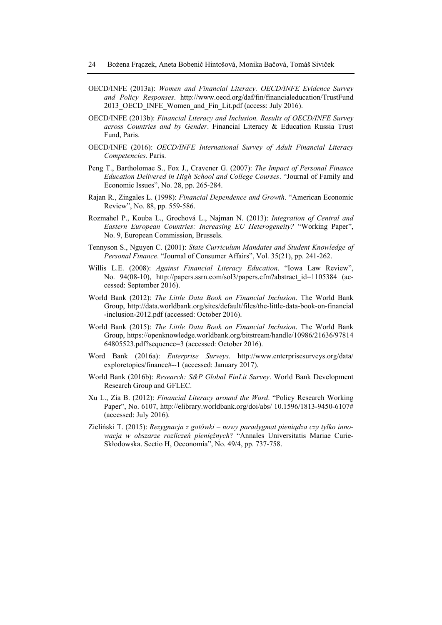- OECD/INFE (2013a): *Women and Financial Literacy. OECD/INFE Evidence Survey and Policy Responses*. http://www.oecd.org/daf/fin/financialeducation/TrustFund 2013 OECD INFE\_Women\_and\_Fin\_Lit.pdf (access: July 2016).
- OECD/INFE (2013b): *Financial Literacy and Inclusion. Results of OECD/INFE Survey across Countries and by Gender*. Financial Literacy & Education Russia Trust Fund, Paris.
- OECD/INFE (2016): *OECD/INFE International Survey of Adult Financial Literacy Competencies*. Paris.
- Peng T., Bartholomae S., Fox J., Cravener G. (2007): *The Impact of Personal Finance Education Delivered in High School and College Courses*. "Journal of Family and Economic Issues", No. 28, pp. 265-284.
- Rajan R., Zingales L. (1998): *Financial Dependence and Growth*. "American Economic Review", No. 88, pp. 559-586.
- Rozmahel P., Kouba L., Grochová L., Najman N. (2013): *Integration of Central and Eastern European Countries: Increasing EU Heterogeneity?* "Working Paper", No. 9, European Commission, Brussels.
- Tennyson S., Nguyen C. (2001): *State Curriculum Mandates and Student Knowledge of Personal Finance*. "Journal of Consumer Affairs", Vol. 35(21), pp. 241-262.
- Willis L.E. (2008): *Against Financial Literacy Education*. "Iowa Law Review", No. 94(08-10), http://papers.ssrn.com/sol3/papers.cfm?abstract\_id=1105384 (accessed: September 2016).
- World Bank (2012): *The Little Data Book on Financial Inclusion*. The World Bank Group, http://data.worldbank.org/sites/default/files/the-little-data-book-on-financial -inclusion-2012.pdf (accessed: October 2016).
- World Bank (2015): *The Little Data Book on Financial Inclusion*. The World Bank Group, https://openknowledge.worldbank.org/bitstream/handle/10986/21636/97814 64805523.pdf?sequence=3 (accessed: October 2016).
- Word Bank (2016a): *Enterprise Surveys*. http://www.enterprisesurveys.org/data/ exploretopics/finance#--1 (accessed: January 2017).
- World Bank (2016b): *Research: S&P Global FinLit Survey*. World Bank Development Research Group and GFLEC.
- Xu L., Zia B. (2012): *Financial Literacy around the Word*. "Policy Research Working Paper", No. 6107, http://elibrary.worldbank.org/doi/abs/ 10.1596/1813-9450-6107# (accessed: July 2016).
- Zieliński T. (2015): *Rezygnacja z gotówki nowy paradygmat pieniądza czy tylko innowacja w obszarze rozliczeń pieniężnych*? "Annales Universitatis Mariae Curie-Skłodowska. Sectio H, Oeconomia", No. 49/4, pp. 737-758.